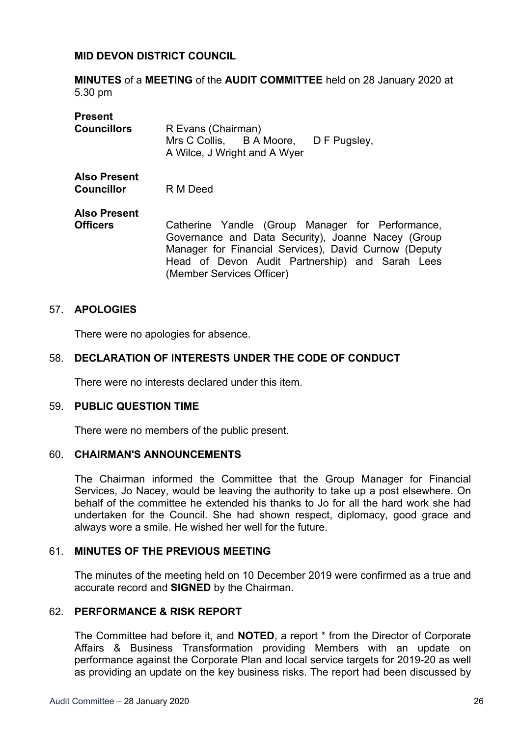## **MID DEVON DISTRICT COUNCIL**

**MINUTES** of a **MEETING** of the **AUDIT COMMITTEE** held on 28 January 2020 at 5.30 pm

| <b>Present</b>                           |                                                                                                                                                                                                                                                 |
|------------------------------------------|-------------------------------------------------------------------------------------------------------------------------------------------------------------------------------------------------------------------------------------------------|
| <b>Councillors</b>                       | R Evans (Chairman)<br>Mrs C Collis, B A Moore, D F Pugsley,<br>A Wilce, J Wright and A Wyer                                                                                                                                                     |
|                                          |                                                                                                                                                                                                                                                 |
| <b>Also Present</b><br><b>Councillor</b> | R M Deed                                                                                                                                                                                                                                        |
| <b>Also Present</b>                      |                                                                                                                                                                                                                                                 |
| <b>Officers</b>                          | Catherine Yandle (Group Manager for Performance,<br>Governance and Data Security), Joanne Nacey (Group<br>Manager for Financial Services), David Curnow (Deputy<br>Head of Devon Audit Partnership) and Sarah Lees<br>(Member Services Officer) |

#### 57. **APOLOGIES**

There were no apologies for absence.

#### 58. **DECLARATION OF INTERESTS UNDER THE CODE OF CONDUCT**

There were no interests declared under this item.

#### 59. **PUBLIC QUESTION TIME**

There were no members of the public present.

#### 60. **CHAIRMAN'S ANNOUNCEMENTS**

The Chairman informed the Committee that the Group Manager for Financial Services, Jo Nacey, would be leaving the authority to take up a post elsewhere. On behalf of the committee he extended his thanks to Jo for all the hard work she had undertaken for the Council. She had shown respect, diplomacy, good grace and always wore a smile. He wished her well for the future.

## 61. **MINUTES OF THE PREVIOUS MEETING**

The minutes of the meeting held on 10 December 2019 were confirmed as a true and accurate record and **SIGNED** by the Chairman.

## 62. **PERFORMANCE & RISK REPORT**

The Committee had before it, and **NOTED**, a report \* from the Director of Corporate Affairs & Business Transformation providing Members with an update on performance against the Corporate Plan and local service targets for 2019-20 as well as providing an update on the key business risks. The report had been discussed by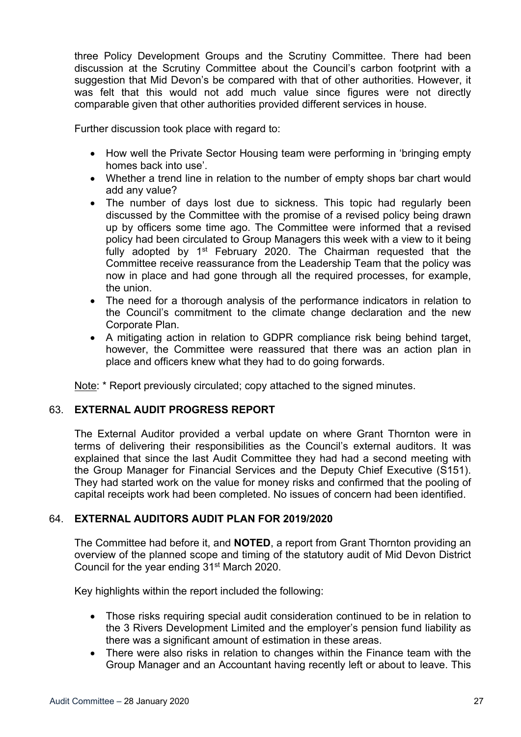three Policy Development Groups and the Scrutiny Committee. There had been discussion at the Scrutiny Committee about the Council's carbon footprint with a suggestion that Mid Devon's be compared with that of other authorities. However, it was felt that this would not add much value since figures were not directly comparable given that other authorities provided different services in house.

Further discussion took place with regard to:

- How well the Private Sector Housing team were performing in 'bringing empty homes back into use'.
- Whether a trend line in relation to the number of empty shops bar chart would add any value?
- The number of days lost due to sickness. This topic had regularly been discussed by the Committee with the promise of a revised policy being drawn up by officers some time ago. The Committee were informed that a revised policy had been circulated to Group Managers this week with a view to it being fully adopted by 1<sup>st</sup> February 2020. The Chairman requested that the Committee receive reassurance from the Leadership Team that the policy was now in place and had gone through all the required processes, for example, the union.
- The need for a thorough analysis of the performance indicators in relation to the Council's commitment to the climate change declaration and the new Corporate Plan.
- A mitigating action in relation to GDPR compliance risk being behind target, however, the Committee were reassured that there was an action plan in place and officers knew what they had to do going forwards.

Note: \* Report previously circulated; copy attached to the signed minutes.

# 63. **EXTERNAL AUDIT PROGRESS REPORT**

The External Auditor provided a verbal update on where Grant Thornton were in terms of delivering their responsibilities as the Council's external auditors. It was explained that since the last Audit Committee they had had a second meeting with the Group Manager for Financial Services and the Deputy Chief Executive (S151). They had started work on the value for money risks and confirmed that the pooling of capital receipts work had been completed. No issues of concern had been identified.

# 64. **EXTERNAL AUDITORS AUDIT PLAN FOR 2019/2020**

The Committee had before it, and **NOTED**, a report from Grant Thornton providing an overview of the planned scope and timing of the statutory audit of Mid Devon District Council for the year ending 31st March 2020.

Key highlights within the report included the following:

- Those risks requiring special audit consideration continued to be in relation to the 3 Rivers Development Limited and the employer's pension fund liability as there was a significant amount of estimation in these areas.
- There were also risks in relation to changes within the Finance team with the Group Manager and an Accountant having recently left or about to leave. This